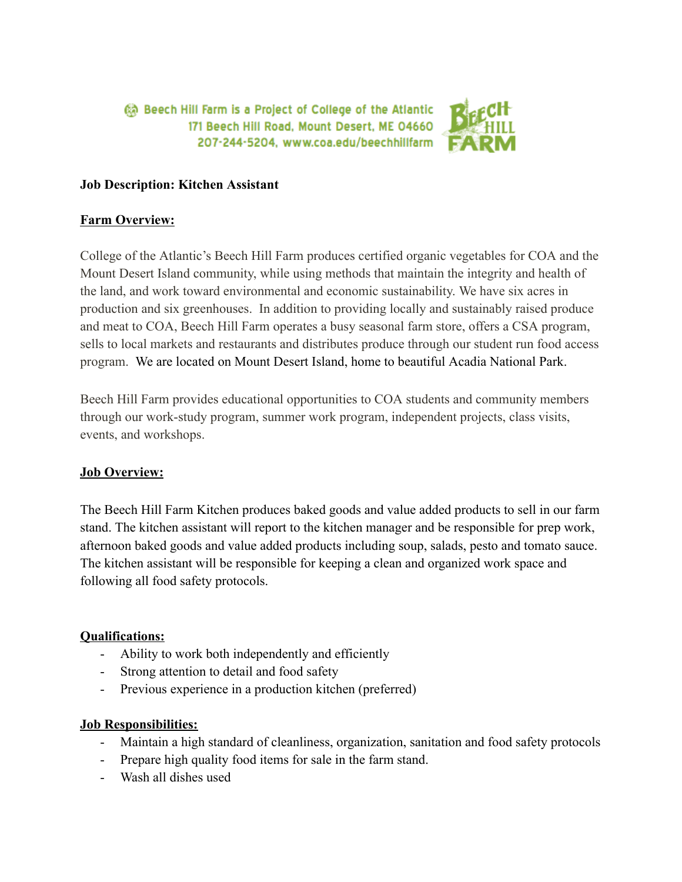a Beech Hill Farm is a Project of College of the Atlantic 171 Beech Hill Road, Mount Desert, ME 04660 207-244-5204, www.coa.edu/beechhillfarm



### **Job Description: Kitchen Assistant**

## **Farm Overview:**

College of the Atlantic's Beech Hill Farm produces certified organic vegetables for COA and the Mount Desert Island community, while using methods that maintain the integrity and health of the land, and work toward environmental and economic sustainability. We have six acres in production and six greenhouses. In addition to providing locally and sustainably raised produce and meat to COA, Beech Hill Farm operates a busy seasonal farm store, offers a CSA program, sells to local markets and restaurants and distributes produce through our student run food access program. We are located on Mount Desert Island, home to beautiful Acadia National Park.

Beech Hill Farm provides educational opportunities to COA students and community members through our work-study program, summer work program, independent projects, class visits, events, and workshops.

# **Job Overview:**

The Beech Hill Farm Kitchen produces baked goods and value added products to sell in our farm stand. The kitchen assistant will report to the kitchen manager and be responsible for prep work, afternoon baked goods and value added products including soup, salads, pesto and tomato sauce. The kitchen assistant will be responsible for keeping a clean and organized work space and following all food safety protocols.

# **Qualifications:**

- Ability to work both independently and efficiently
- Strong attention to detail and food safety
- Previous experience in a production kitchen (preferred)

### **Job Responsibilities:**

- Maintain a high standard of cleanliness, organization, sanitation and food safety protocols
- Prepare high quality food items for sale in the farm stand.
- Wash all dishes used